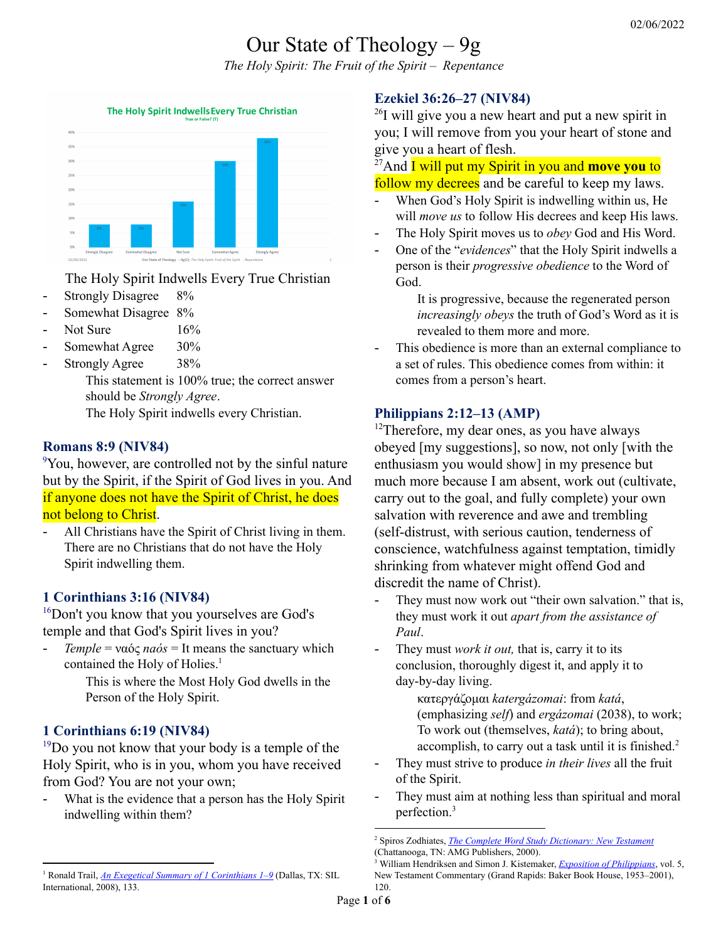# Our State of Theology – 9g

*The Holy Spirit: The Fruit of the Spirit – Repentance*



The Holy Spirit Indwells Every True Christian

- Strongly Disagree 8%
- Somewhat Disagree 8%
- Not Sure 16%
- Somewhat Agree 30%
- Strongly Agree 38%

This statement is 100% true; the correct answer should be *Strongly Agree*.

The Holy Spirit indwells every Christian.

## **Romans 8:9 (NIV84)**

<sup>9</sup>You, however, are controlled not by the sinful nature but by the Spirit, if the Spirit of God lives in you. And if anyone does not have the Spirit of Christ, he does not belong to Christ.

All Christians have the Spirit of Christ living in them. There are no Christians that do not have the Holy Spirit indwelling them.

# **1 Corinthians 3:16 (NIV84)**

<sup>16</sup>Don't you know that you yourselves are God's temple and that God's Spirit lives in you?

- *Temple* = ναός *naós* = It means the sanctuary which contained the Holy of Holies. 1

> This is where the Most Holy God dwells in the Person of the Holy Spirit.

## **1 Corinthians 6:19 (NIV84)**

 $19Do$  you not know that your body is a temple of the Holy Spirit, who is in you, whom you have received from God? You are not your own;

- What is the evidence that a person has the Holy Spirit indwelling within them?

## **Ezekiel 36:26–27 (NIV84)**

<sup>26</sup>I will give you a new heart and put a new spirit in you; I will remove from you your heart of stone and give you a heart of flesh.

<sup>27</sup>And **I** will put my Spirit in you and **move you** to follow my decrees and be careful to keep my laws.

- When God's Holy Spirit is indwelling within us, He will *move us* to follow His decrees and keep His laws.
- The Holy Spirit moves us to *obey* God and His Word.
- One of the "*evidences*" that the Holy Spirit indwells a person is their *progressive obedience* to the Word of God.

It is progressive, because the regenerated person *increasingly obeys* the truth of God's Word as it is revealed to them more and more.

This obedience is more than an external compliance to a set of rules. This obedience comes from within: it comes from a person's heart.

## **Philippians 2:12–13 (AMP)**

 $12$ Therefore, my dear ones, as you have always obeyed [my suggestions], so now, not only [with the enthusiasm you would show] in my presence but much more because I am absent, work out (cultivate, carry out to the goal, and fully complete) your own salvation with reverence and awe and trembling (self-distrust, with serious caution, tenderness of conscience, watchfulness against temptation, timidly shrinking from whatever might offend God and discredit the name of Christ).

- They must now work out "their own salvation." that is, they must work it out *apart from the assistance of Paul*.
- They must *work it out*, that is, carry it to its conclusion, thoroughly digest it, and apply it to day-by-day living.

κατεργάζομαι *katergázomai*: from *katá*, (emphasizing *self*) and *ergázomai* (2038), to work; To work out (themselves, *katá*); to bring about, accomplish, to carry out a task until it is finished. 2

- They must strive to produce *in their lives* all the fruit of the Spirit.
- They must aim at nothing less than spiritual and moral perfection. 3

<sup>1</sup> Ronald Trail, *An Exegetical Summary of 1 [Corinthians](https://ref.ly/logosres/exgsum67aco1?ref=Bible.1Co3.16&off=504&ctx=is+worshipped+%5bLN%5d.+~It+means+the+sanctua) 1–9* (Dallas, TX: SIL International, 2008), 133.

<sup>2</sup> Spiros Zodhiates, *The Complete Word Study [Dictionary:](https://ref.ly/logosres/wsntdict?ref=GreekStrongs.2716&off=7&ctx=+%0a2716.+~%CE%BA%CE%B1%CF%84%CE%B5%CF%81%CE%B3%CE%B1%CC%81%CE%B6%CE%BF%CE%BC%CE%B1%CE%B9+katerga%CC%81zomai%3b+fut) New Testament* (Chattanooga, TN: AMG Publishers, 2000).

<sup>3</sup> William Hendriksen and Simon J. Kistemaker, *Exposition of [Philippians](https://ref.ly/logosres/bkrc-php?ref=Bible.Php2.12&off=2933&ctx=+Paul+is+concerned.+~They+must+now+work+o)*, vol. 5, New Testament Commentary (Grand Rapids: Baker Book House, 1953–2001), 120.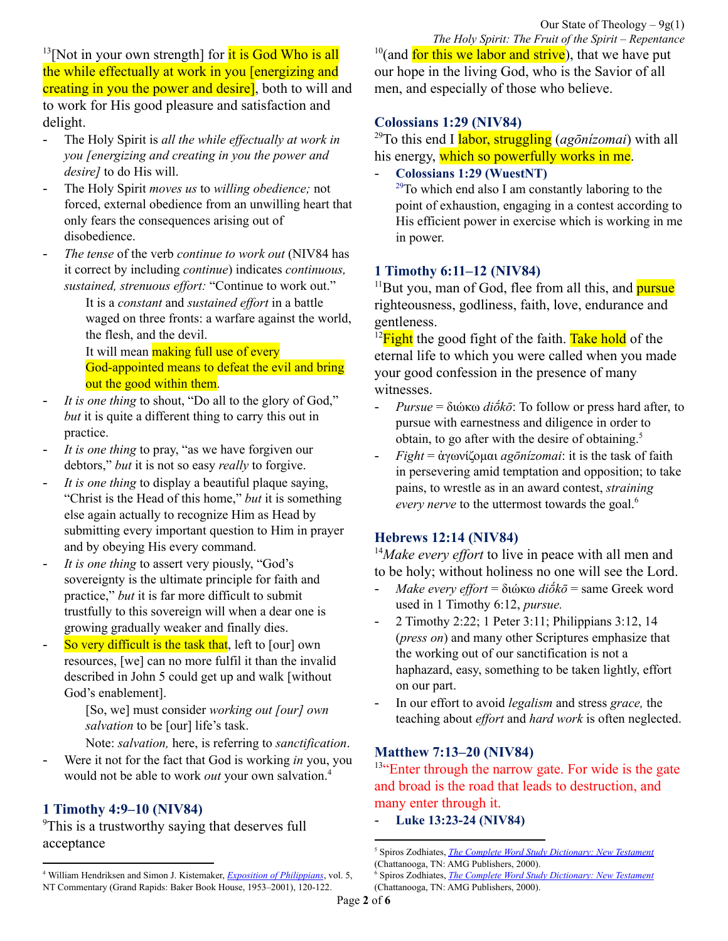<sup>13</sup>[Not in your own strength] for it is God Who is all the while effectually at work in you [energizing and creating in you the power and desire, both to will and to work for His good pleasure and satisfaction and delight.

- The Holy Spirit is *all the while ef ectually at work in you [energizing and creating in you the power and desire]* to do His will.
- The Holy Spirit *moves us* to *willing obedience;* not forced, external obedience from an unwilling heart that only fears the consequences arising out of disobedience.
- *The tense* of the verb *continue to work out* (NIV84 has it correct by including *continue*) indicates *continuous, sustained, strenuous effort:* "Continue to work out."

It is a *constant* and *sustained effort* in a battle waged on three fronts: a warfare against the world, the flesh, and the devil.

It will mean **making full use of every** God-appointed means to defeat the evil and bring out the good within them.

- *It is one thing* to shout, "Do all to the glory of God," *but* it is quite a different thing to carry this out in practice.
- *It is one thing* to pray, "as we have forgiven our debtors," *but* it is not so easy *really* to forgive.
- *It is one thing* to display a beautiful plaque saying, "Christ is the Head of this home," *but* it is something else again actually to recognize Him as Head by submitting every important question to Him in prayer and by obeying His every command.
- *It is one thing* to assert very piously, "God's sovereignty is the ultimate principle for faith and practice," *but* it is far more difficult to submit trustfully to this sovereign will when a dear one is growing gradually weaker and finally dies.
- So very difficult is the task that, left to [our] own resources, [we] can no more fulfil it than the invalid described in John 5 could get up and walk [without God's enablement].

[So, we] must consider *working out [our] own salvation* to be [our] life's task.

- Note: *salvation,* here, is referring to *sanctification*.
- Were it not for the fact that God is working *in* you, you would not be able to work *out* your own salvation. 4

## **1 Timothy 4:9–10 (NIV84)**

<sup>9</sup>This is a trustworthy saying that deserves full acceptance

*The Holy Spirit: The Fruit of the Spirit – Repentance* <sup>10</sup>(and for this we labor and strive), that we have put our hope in the living God, who is the Savior of all men, and especially of those who believe.

#### **Colossians 1:29 (NIV84)**

<sup>29</sup>To this end I labor, struggling (*agōnízomai*) with all his energy, which so powerfully works in me.

#### - **Colossians 1:29 (WuestNT)**

 $29$ To which end also I am constantly laboring to the point of exhaustion, engaging in a contest according to His efficient power in exercise which is working in me in power.

#### **1 Timothy 6:11–12 (NIV84)**

<sup>11</sup>But you, man of God, flee from all this, and **pursue** righteousness, godliness, faith, love, endurance and gentleness.

 $^{12}$ Fight the good fight of the faith. Take hold of the eternal life to which you were called when you made your good confession in the presence of many witnesses.

- *Pursue* = διώκω *diṓkō*: To follow or press hard after, to pursue with earnestness and diligence in order to obtain, to go after with the desire of obtaining. 5
- *Fight* = ἀγωνίζομαι *agōnízomai*: it is the task of faith in persevering amid temptation and opposition; to take pains, to wrestle as in an award contest, *straining every nerve* to the uttermost towards the goal. 6

### **Hebrews 12:14 (NIV84)**

<sup>14</sup>*Make every effort* to live in peace with all men and to be holy; without holiness no one will see the Lord.

- *Make every ef ort* = διώκω *diṓkō* = same Greek word used in 1 Timothy 6:12, *pursue.*
- 2 Timothy 2:22; 1 Peter 3:11; Philippians 3:12, 14 (*press on*) and many other Scriptures emphasize that the working out of our sanctification is not a haphazard, easy, something to be taken lightly, effort on our part.
- In our effort to avoid *legalism* and stress *grace,* the teaching about *effort* and *hard work* is often neglected.

### **Matthew 7:13–20 (NIV84)**

 $13$ <sup>ta</sup>. Enter through the narrow gate. For wide is the gate and broad is the road that leads to destruction, and many enter through it.

- **Luke 13:23-24 (NIV84)**

<sup>4</sup> William Hendriksen and Simon J. Kistemaker, *Exposition of [Philippians](https://ref.ly/logosres/bkrc-php?ref=Bible.Php2.13&off=229&ctx=+is+working+in+you.+~Were+it+not+for+the+)*, vol. 5, NT Commentary (Grand Rapids: Baker Book House, 1953–2001), 120-122.

<sup>5</sup> Spiros Zodhiates, *The Complete Word Study [Dictionary:](https://ref.ly/logosres/wsntdict?ref=GreekStrongs.1377&off=7&ctx=+%0a1377.+~%CE%B4%CE%B9%CF%89%CC%81%CE%BA%CF%89+dio%CC%84%CC%81ko%CC%84%3b+fut.+dio%CC%84%CC%81xo%CC%84%2c+) New Testament* (Chattanooga, TN: AMG Publishers, 2000).

<sup>6</sup> Spiros Zodhiates, *The Complete Word Study [Dictionary:](https://ref.ly/logosres/wsntdict?ref=GreekStrongs.75&off=5&ctx=+%0a75.+~%CE%B1%CC%93%CE%B3%CF%89%CE%BD%CE%B9%CC%81%CE%B6%CE%BF%CE%BC%CE%B1%CE%B9+ago%CC%84ni%CC%81zomai%3b+fut.+ag) New Testament* (Chattanooga, TN: AMG Publishers, 2000).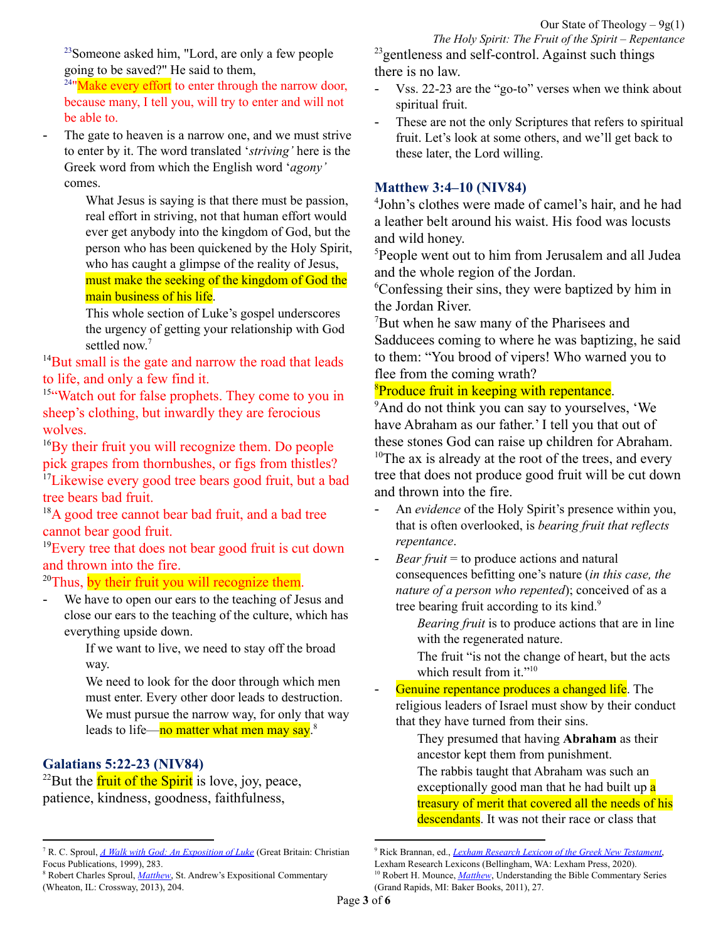<sup>23</sup>Someone asked him, "Lord, are only a few people going to be saved?" He said to them,

 $24$ "Make every effort to enter through the narrow door, because many, I tell you, will try to enter and will not be able to.

The gate to heaven is a narrow one, and we must strive to enter by it. The word translated '*striving'* here is the Greek word from which the English word '*agony'* comes.

What Jesus is saying is that there must be passion, real effort in striving, not that human effort would ever get anybody into the kingdom of God, but the person who has been quickened by the Holy Spirit, who has caught a glimpse of the reality of Jesus, must make the seeking of the kingdom of God the main business of his life.

This whole section of Luke's gospel underscores the urgency of getting your relationship with God settled now. 7

 $14$ But small is the gate and narrow the road that leads to life, and only a few find it.

<sup>15"</sup>Watch out for false prophets. They come to you in sheep's clothing, but inwardly they are ferocious wolves.

<sup>16</sup>By their fruit you will recognize them. Do people pick grapes from thornbushes, or figs from thistles?

<sup>17</sup>Likewise every good tree bears good fruit, but a bad tree bears bad fruit.

<sup>18</sup>A good tree cannot bear bad fruit, and a bad tree cannot bear good fruit.

<sup>19</sup>Every tree that does not bear good fruit is cut down and thrown into the fire.

## <sup>20</sup>Thus, by their fruit you will recognize them.

We have to open our ears to the teaching of Jesus and close our ears to the teaching of the culture, which has everything upside down.

> If we want to live, we need to stay off the broad way.

We need to look for the door through which men must enter. Every other door leads to destruction.

We must pursue the narrow way, for only that way leads to life—no matter what men may say.<sup>8</sup>

## **Galatians 5:22-23 (NIV84)**

<sup>22</sup>But the **fruit of the Spirit** is love, joy, peace, patience, kindness, goodness, faithfulness,

*The Holy Spirit: The Fruit of the Spirit – Repentance*  $^{23}$ gentleness and self-control. Against such things there is no law.

- Vss. 22-23 are the "go-to" verses when we think about spiritual fruit.
- These are not the only Scriptures that refers to spiritual fruit. Let's look at some others, and we'll get back to these later, the Lord willing.

#### **Matthew 3:4–10 (NIV84)**

4 John's clothes were made of camel's hair, and he had a leather belt around his waist. His food was locusts and wild honey.

<sup>5</sup>People went out to him from Jerusalem and all Judea and the whole region of the Jordan.

<sup>6</sup>Confessing their sins, they were baptized by him in the Jordan River.

<sup>7</sup>But when he saw many of the Pharisees and Sadducees coming to where he was baptizing, he said to them: "You brood of vipers! Who warned you to flee from the coming wrath?

#### <sup>8</sup>Produce fruit in keeping with repentance.

<sup>9</sup>And do not think you can say to yourselves, 'We have Abraham as our father.' I tell you that out of these stones God can raise up children for Abraham.

 $10$ <sup>10</sup>The ax is already at the root of the trees, and every tree that does not produce good fruit will be cut down and thrown into the fire.

- An *evidence* of the Holy Spirit's presence within you, that is often overlooked, is *bearing fruit that reflects repentance*.
- *Bear fruit* = to produce actions and natural consequences befitting one's nature (*in this case, the nature of a person who repented*); conceived of as a tree bearing fruit according to its kind.<sup>9</sup>

*Bearing fruit* is to produce actions that are in line with the regenerated nature.

- The fruit "is not the change of heart, but the acts which result from it."<sup>10</sup>
- Genuine repentance produces a changed life. The religious leaders of Israel must show by their conduct that they have turned from their sins.

They presumed that having **Abraham** as their ancestor kept them from punishment.

The rabbis taught that Abraham was such an exceptionally good man that he had built up a treasury of merit that covered all the needs of his descendants. It was not their race or class that

<sup>7</sup> R. C. Sproul, *A Walk with God: An [Exposition](https://ref.ly/logosres/walkwgodlk?ref=Bible.Lk13.18-30&off=4275&ctx=ve+to+remember+that+~the+gate+to+heaven+i) of Luke* (Great Britain: Christian Focus Publications, 1999), 283.

<sup>8</sup> Robert Charles Sproul, *[Matthew](https://ref.ly/logosres/sproulmatthew?ref=Bible.Mt7.20&off=56&ctx=know+them%E2%80%9D+(v.+20).+~We+have+to+open+our+)*, St. Andrew's Expositional Commentary (Wheaton, IL: Crossway, 2013), 204.

<sup>9</sup> Rick Brannan, ed., *Lexham Research Lexicon of the Greek New [Testament](https://ref.ly/logosres/fbgntlex?hw=%CE%BA%CE%B1%CF%81%CF%80%CF%8C%CF%82&off=2768&ctx=ces+%E2%87%94+bear+fruit%E2%80%A0+%E2%80%94+~to+produce+actions+a)*,

Lexham Research Lexicons (Bellingham, WA: Lexham Press, 2020).

<sup>&</sup>lt;sup>10</sup> Robert H. Mounce, *[Matthew](https://ref.ly/logosres/nibcnt61mt?ref=Bible.Mt3.8&off=26&ctx=McNeile+writes+that+~the+fruit+of+which+J)*, Understanding the Bible Commentary Series (Grand Rapids, MI: Baker Books, 2011), 27.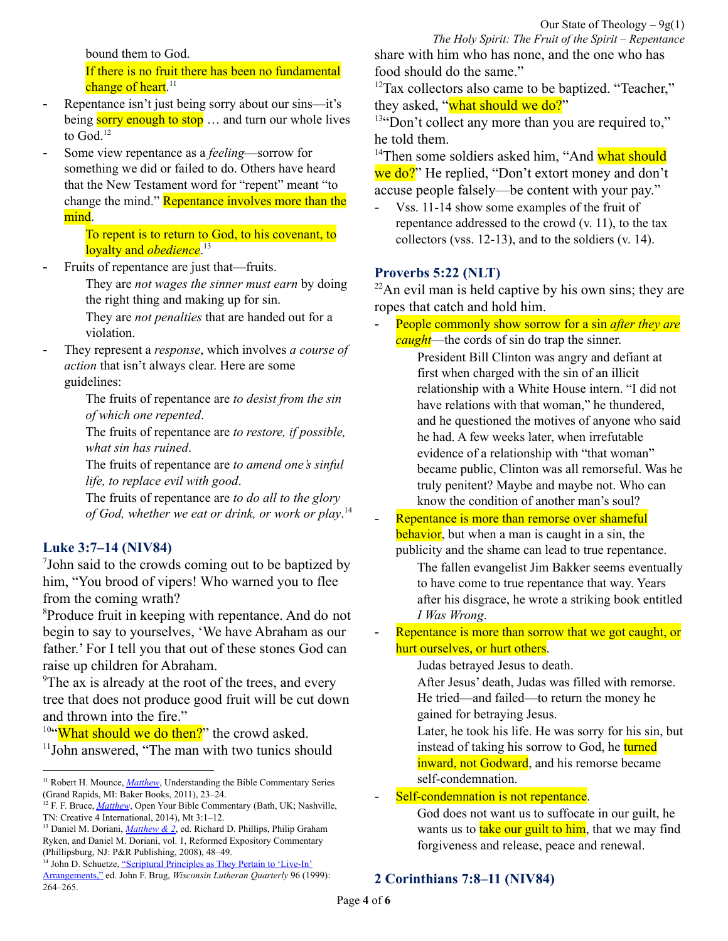bound them to God.

If there is no fruit there has been no fundamental change of heart.<sup>11</sup>

- Repentance isn't just being sorry about our sins—it's being sorry enough to stop ... and turn our whole lives to God.<sup>12</sup>
- Some view repentance as a *feeling*—sorrow for something we did or failed to do. Others have heard that the New Testament word for "repent" meant "to change the mind." Repentance involves more than the mind.

To repent is to return to God, to his covenant, to loyalty and *obedience*. 13

Fruits of repentance are just that—fruits.

They are *not wages the sinner must earn* by doing the right thing and making up for sin.

They are *not penalties* that are handed out for a violation.

- They represent a *response*, which involves *a course of action* that isn't always clear. Here are some guidelines:

> The fruits of repentance are *to desist from the sin of which one repented*.

The fruits of repentance are *to restore, if possible, what sin has ruined*.

The fruits of repentance are *to amend one's sinful life, to replace evil with good*.

The fruits of repentance are *to do all to the glory of God, whether we eat or drink, or work or play*. 14

#### **Luke 3:7–14 (NIV84)**

7 John said to the crowds coming out to be baptized by him, "You brood of vipers! Who warned you to flee from the coming wrath?

<sup>8</sup>Produce fruit in keeping with repentance. And do not begin to say to yourselves, 'We have Abraham as our father.' For I tell you that out of these stones God can raise up children for Abraham.

<sup>9</sup>The ax is already at the root of the trees, and every tree that does not produce good fruit will be cut down and thrown into the fire."

<sup>10"</sup>What should we do then?" the crowd asked. 11 John answered, "The man with two tunics should

*The Holy Spirit: The Fruit of the Spirit – Repentance* share with him who has none, and the one who has food should do the same."

<sup>12</sup>Tax collectors also came to be baptized. "Teacher," they asked, "what should we do?"

 $13$ "Don't collect any more than you are required to," he told them.

<sup>14</sup>Then some soldiers asked him, "And what should we do?" He replied, "Don't extort money and don't accuse people falsely—be content with your pay."

Vss. 11-14 show some examples of the fruit of repentance addressed to the crowd (v. 11), to the tax collectors (vss. 12-13), and to the soldiers (v. 14).

#### **Proverbs 5:22 (NLT)**

 $22$ An evil man is held captive by his own sins; they are ropes that catch and hold him.

- People commonly show sorrow for a sin *after they are caught*—the cords of sin do trap the sinner. President Bill Clinton was angry and defiant at first when charged with the sin of an illicit relationship with a White House intern. "I did not have relations with that woman," he thundered, and he questioned the motives of anyone who said he had. A few weeks later, when irrefutable evidence of a relationship with "that woman" became public, Clinton was all remorseful. Was he truly penitent? Maybe and maybe not. Who can know the condition of another man's soul?
- Repentance is more than remorse over shameful behavior, but when a man is caught in a sin, the publicity and the shame can lead to true repentance.

The fallen evangelist Jim Bakker seems eventually to have come to true repentance that way. Years after his disgrace, he wrote a striking book entitled *I Was Wrong*.

Repentance is more than sorrow that we got caught, or hurt ourselves, or hurt others.

Judas betrayed Jesus to death.

After Jesus' death, Judas was filled with remorse. He tried—and failed—to return the money he gained for betraying Jesus.

Later, he took his life. He was sorry for his sin, but instead of taking his sorrow to God, he turned inward, not Godward, and his remorse became self-condemnation.

#### Self-condemnation is not repentance.

God does not want us to suffocate in our guilt, he wants us to take our guilt to him, that we may find forgiveness and release, peace and renewal.

### **2 Corinthians 7:8–11 (NIV84)**

<sup>&</sup>lt;sup>11</sup> Robert H. Mounce, *[Matthew](https://ref.ly/logosres/nibcnt61mt?ref=Bible.Mt3.7-12&off=1339&ctx=d%E2%80%9D+(vol.+1%2c+p.+44).%0a~Genuine+repentance+p)*, Understanding the Bible Commentary Series (Grand Rapids, MI: Baker Books, 2011), 23–24.

<sup>12</sup> F. F. Bruce, *[Matthew](https://ref.ly/logosres/mtthwnpnybblcmm?ref=Bible.Mt3.1-12&off=36&ctx=JOHN%0aMATTHEW+3%3a1%E2%80%9312%0a~Repentance+isn%E2%80%99t+jus)*, Open Your Bible Commentary (Bath, UK; Nashville, TN: Creative 4 International, 2014), Mt 3:1–12.

<sup>13</sup> Daniel M. Doriani, *[Matthew](https://ref.ly/logosres/rec61mt?ref=Bible.Mt3.1-12&off=3338&ctx=e+kingdom+is+near.%E2%80%9D+~Some+view+repentance) & 2*, ed. Richard D. Phillips, Philip Graham Ryken, and Daniel M. Doriani, vol. 1, Reformed Expository Commentary (Phillipsburg, NJ: P&R Publishing, 2008), 48–49.

<sup>&</sup>lt;sup>14</sup> John D. Schuetze, ["Scriptural](https://ref.ly/logosres/wlq96?ref=Page.p+264&off=2090&ctx=ohn+8%3a11%2c+Luke+19%3a8%0a~Fruits+of+repentance) Principles as They Pertain to 'Live-In' [Arrangements,"](https://ref.ly/logosres/wlq96?ref=Page.p+264&off=2090&ctx=ohn+8%3a11%2c+Luke+19%3a8%0a~Fruits+of+repentance) ed. John F. Brug, *Wisconsin Lutheran Quarterly* 96 (1999): 264–265.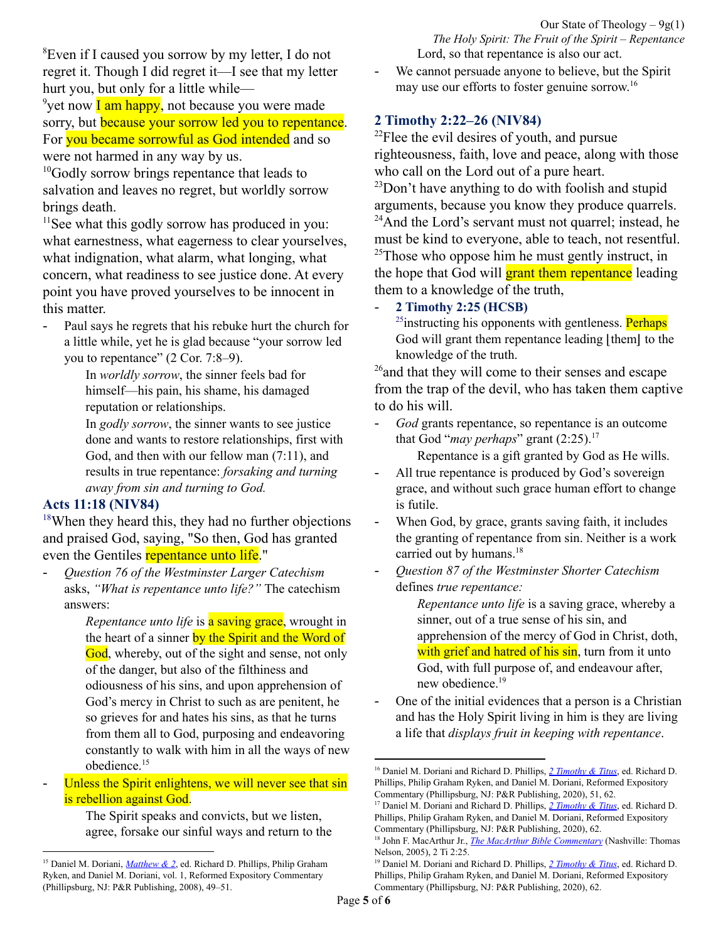Our State of Theology  $-9g(1)$ *The Holy Spirit: The Fruit of the Spirit – Repentance* Lord, so that repentance is also our act.

<sup>8</sup>Even if I caused you sorrow by my letter, I do not regret it. Though I did regret it—I see that my letter hurt you, but only for a little while—

<sup>9</sup>yet now **I am happy**, not because you were made sorry, but **because your sorrow led you to repentance**. For you became sorrowful as God intended and so were not harmed in any way by us.

<sup>10</sup>Godly sorrow brings repentance that leads to salvation and leaves no regret, but worldly sorrow brings death.

 $11$ See what this godly sorrow has produced in you: what earnestness, what eagerness to clear yourselves, what indignation, what alarm, what longing, what concern, what readiness to see justice done. At every point you have proved yourselves to be innocent in this matter.

Paul says he regrets that his rebuke hurt the church for a little while, yet he is glad because "your sorrow led you to repentance" (2 Cor. 7:8–9).

In *worldly sorrow*, the sinner feels bad for himself—his pain, his shame, his damaged reputation or relationships.

In *godly sorrow*, the sinner wants to see justice done and wants to restore relationships, first with God, and then with our fellow man (7:11), and results in true repentance: *forsaking and turning away from sin and turning to God.*

# **Acts 11:18 (NIV84)**

<sup>18</sup>When they heard this, they had no further objections and praised God, saying, "So then, God has granted even the Gentiles repentance unto life."

- *Question 76 of the Westminster Larger Catechism* asks, *"What is repentance unto life?"* The catechism answers:

*Repentance unto life* is **a saving grace**, wrought in the heart of a sinner by the Spirit and the Word of God, whereby, out of the sight and sense, not only of the danger, but also of the filthiness and odiousness of his sins, and upon apprehension of God's mercy in Christ to such as are penitent, he so grieves for and hates his sins, as that he turns from them all to God, purposing and endeavoring constantly to walk with him in all the ways of new obedience. 15

Unless the Spirit enlightens, we will never see that sin is rebellion against God.

The Spirit speaks and convicts, but we listen, agree, forsake our sinful ways and return to the - We cannot persuade anyone to believe, but the Spirit may use our efforts to foster genuine sorrow. 16

# **2 Timothy 2:22–26 (NIV84)**

 $2^{22}$ Flee the evil desires of youth, and pursue righteousness, faith, love and peace, along with those who call on the Lord out of a pure heart.

 $^{23}$ Don't have anything to do with foolish and stupid arguments, because you know they produce quarrels.

<sup>24</sup>And the Lord's servant must not quarrel; instead, he must be kind to everyone, able to teach, not resentful.

 $25$ Those who oppose him he must gently instruct, in the hope that God will **grant them repentance** leading them to a knowledge of the truth,

- **2 Timothy 2:25 (HCSB)**

<sup>25</sup>instructing his opponents with gentleness. Perhaps God will grant them repentance leading  $|$ them $|$  to the knowledge of the truth.

<sup>26</sup> and that they will come to their senses and escape from the trap of the devil, who has taken them captive to do his will.

- *God* grants repentance, so repentance is an outcome that God "*may perhaps*" grant (2:25). 17

Repentance is a gift granted by God as He wills.

- All true repentance is produced by God's sovereign grace, and without such grace human effort to change is futile.
- When God, by grace, grants saving faith, it includes the granting of repentance from sin. Neither is a work carried out by humans.<sup>18</sup>
- *Question 87 of the Westminster Shorter Catechism* defines *true repentance:*

*Repentance unto life* is a saving grace, whereby a sinner, out of a true sense of his sin, and apprehension of the mercy of God in Christ, doth, with grief and hatred of his sin, turn from it unto God, with full purpose of, and endeavour after, new obedience. 19

- One of the initial evidences that a person is a Christian and has the Holy Spirit living in him is they are living a life that *displays fruit in keeping with repentance*.

<sup>15</sup> Daniel M. Doriani, *[Matthew](https://ref.ly/logosres/rec61mt?ref=Bible.Mt3.1-12&off=5611&ctx=at+we+hurt+someone.%0a~Repentance+is+also+m) & 2*, ed. Richard D. Phillips, Philip Graham Ryken, and Daniel M. Doriani, vol. 1, Reformed Expository Commentary (Phillipsburg, NJ: P&R Publishing, 2008), 49–51.

<sup>16</sup> Daniel M. Doriani and Richard D. Phillips, *2 [Timothy](https://ref.ly/logosres/rec76ti2?ref=Bible.2Ti2.23-26&off=5709&ctx=ce+(Eph.+4%3a15%2c+29).+~We+cannot+persuade+a) & Titus*, ed. Richard D. Phillips, Philip Graham Ryken, and Daniel M. Doriani, Reformed Expository Commentary (Phillipsburg, NJ: P&R Publishing, 2020), 51, 62.

<sup>17</sup> Daniel M. Doriani and Richard D. Phillips, *2 [Timothy](https://ref.ly/logosres/rec76ti2?ref=Bible.2Ti2.23-26&off=5536&ctx=+well+as+realistic.+~God+grants+repentanc) & Titus*, ed. Richard D. Phillips, Philip Graham Ryken, and Daniel M. Doriani, Reformed Expository Commentary (Phillipsburg, NJ: P&R Publishing, 2020), 62.

<sup>18</sup> John F. MacArthur Jr., *The MacArthur Bible [Commentary](https://ref.ly/logosres/97120d2325c2eaff76a0701e5f610f13?ref=Bible.2Ti2.25&off=322&ctx=orinthians+7%3a9%2c+10.+~All+true+repentance+)* (Nashville: Thomas Nelson, 2005), 2 Ti 2:25.

<sup>19</sup> Daniel M. Doriani and Richard D. Phillips, *2 [Timothy](https://ref.ly/logosres/rec76ti2?ref=Bible.2Ti2.23-26&off=5821&ctx=orrow+(Acts+11%3a18).+~Question+87+of+the+W) & Titus*, ed. Richard D. Phillips, Philip Graham Ryken, and Daniel M. Doriani, Reformed Expository Commentary (Phillipsburg, NJ: P&R Publishing, 2020), 62.